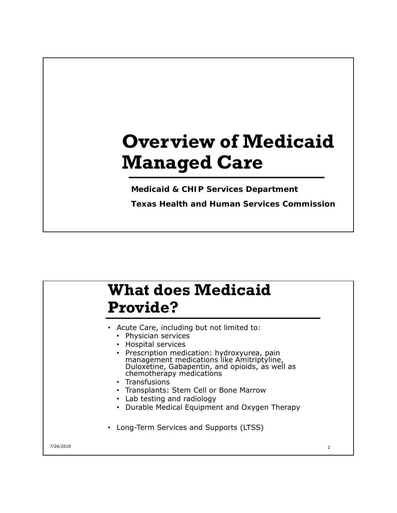## **Overview of Medicaid Managed Care**

**Medicaid & CHIP Services Department** 

**Texas Health and Human Services Commission** 

### **What does Medicaid Provide?**

- Acute Care, including but not limited to:
	- Physician services
	- Hospital services
	- Prescription medication: hydroxyurea, pain management medications like Amitriptyline, Duloxetine, Gabapentin, and opioids, as well as chemotherapy medications
	- Transfusions
	- Transplants: Stem Cell or Bone Marrow
	- Lab testing and radiology
	- Durable Medical Equipment and Oxygen Therapy
- Long-Term Services and Supports (LTSS)

7/26/2018 2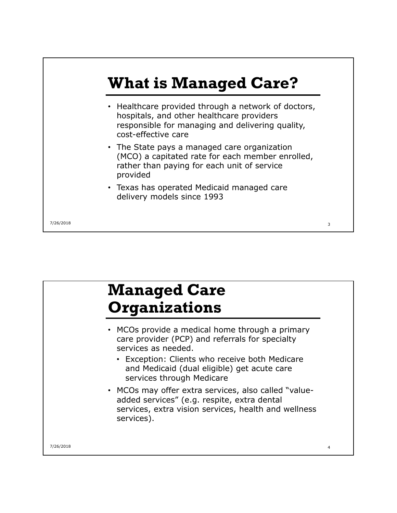

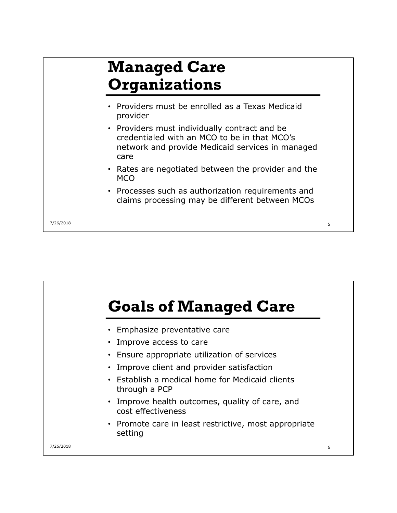#### **Managed Care Organizations** • Providers must be enrolled as a Texas Medicaid provider • Providers must individually contract and be credentialed with an MCO to be in that MCO's network and provide Medicaid services in managed care • Rates are negotiated between the provider and the MCO • Processes such as authorization requirements and claims processing may be different between MCOs 7/26/2018 5

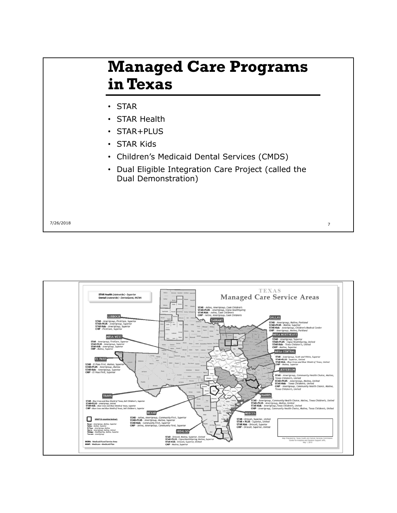#### **Managed Care Programs in Texas**

- • STAR
- STAR Health
- STAR+PLUS
- • STAR Kids
- • Children's Medicaid Dental Services (CMDS)
- • Dual Eligible Integration Care Project (called the Dual Demonstration)

7/26/2018 7

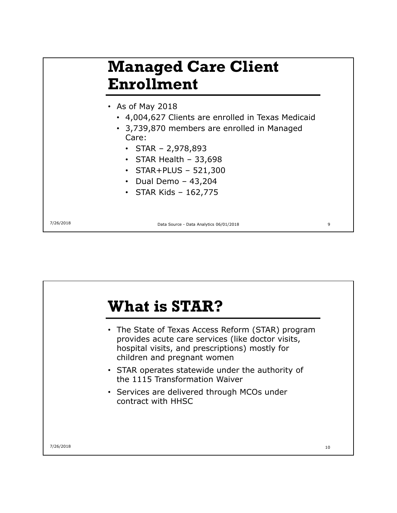#### **Managed Care Client Enrollment**

- • As of May 2018
	- • 4,004,627 Clients are enrolled in Texas Medicaid
	- • 3,739,870 members are enrolled in Managed Care:
		- STAR 2,978,893
		- STAR Health  $-33,698$
		- $\cdot$  STAR+PLUS 521,300
		- $\cdot$  Dual Demo 43,204
		- • STAR Kids 162,775

7/26/2018 Data Source - Data Analytics 06/01/2018 9

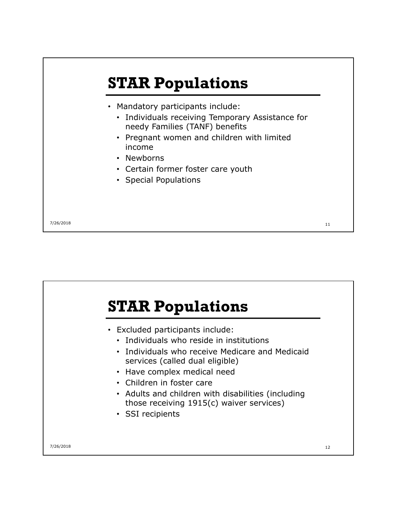

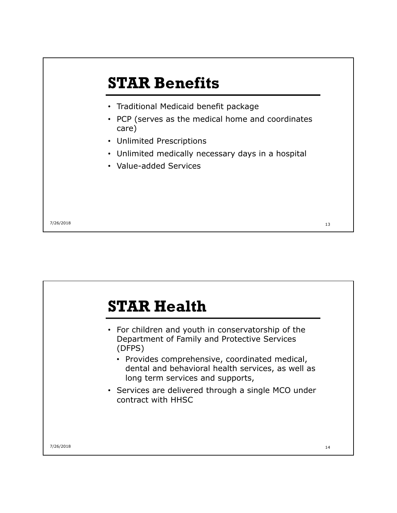

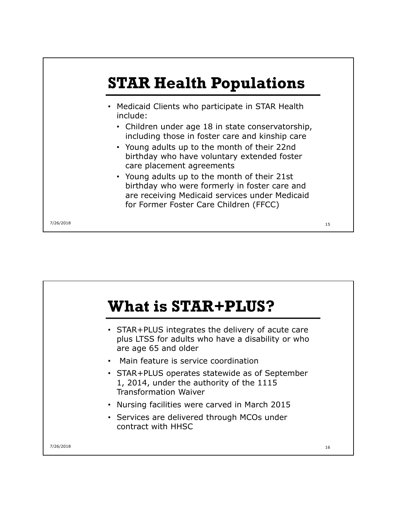

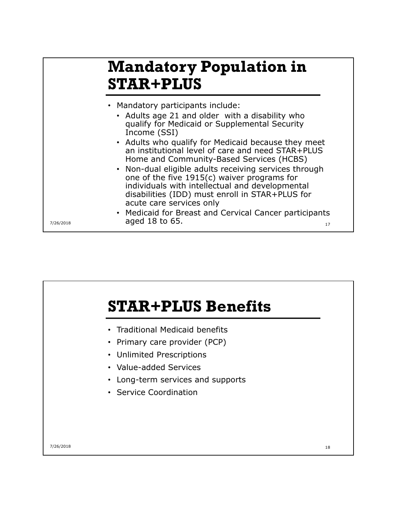#### **Mandatory Population in STAR+PLUS**

- • Adults age 21 and older with a disability who qualify for Medicaid or Supplemental Security Income (SSI)
- an institutional level of care and need STAR+PLUS • Adults who qualify for Medicaid because they meet Home and Community-Based Services (HCBS)
- • Non-dual eligible adults receiving services through disabilities (IDD) must enroll in STAR+PLUS for one of the five 1915(c) waiver programs for individuals with intellectual and developmental acute care services only
- • Medicaid for Breast and Cervical Cancer participants  $7/26/2018$  aged 18 to 65.

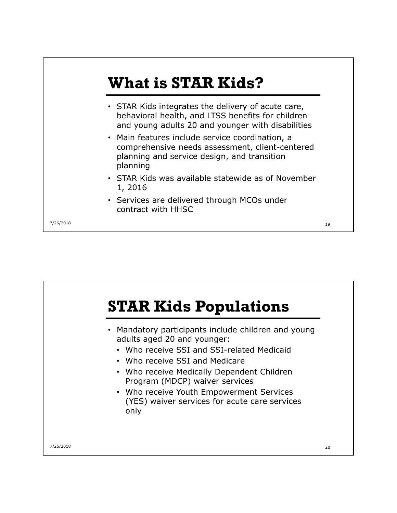

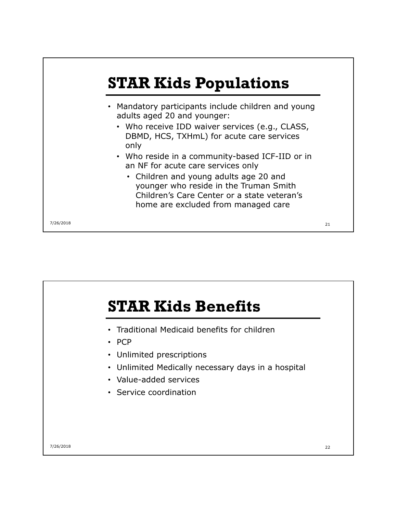

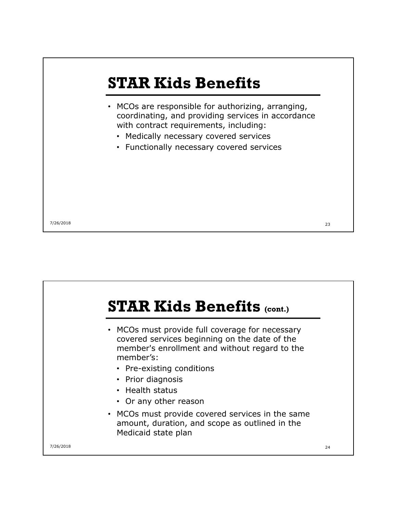

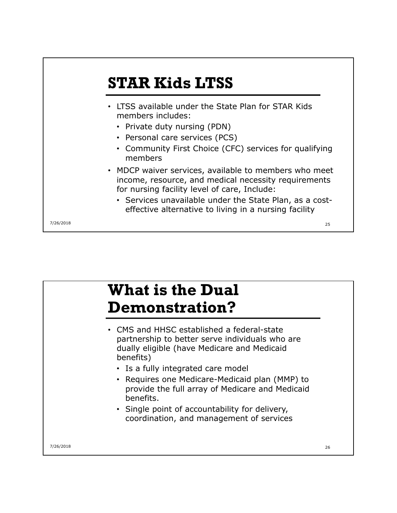

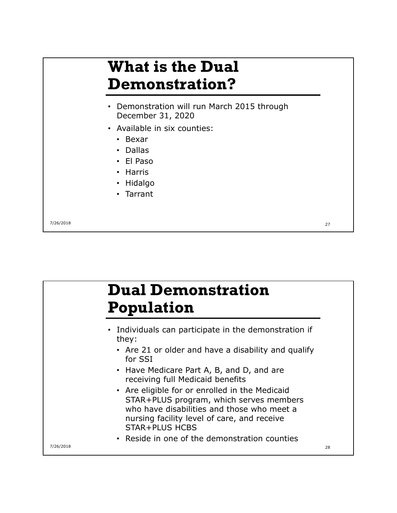### **What is the Dual Demonstration?**

- Demonstration will run March 2015 through December 31, 2020
- • Available in six counties:
	- • Bexar
	- • Dallas
	- • El Paso
	- • Harris
	- • Hidalgo
	- • Tarrant

7/26/2018 27

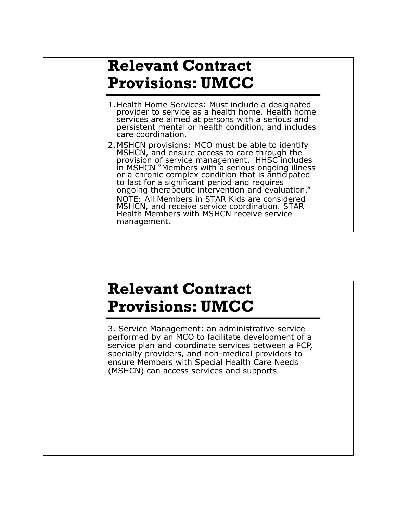#### **Relevant Contract Provisions: UMCC**

- persistent mental or health condition, and includes 1.Health Home Services: Must include a designated provider to service as a health home. Health home services are aimed at persons with a serious and care coordination.
- 2. MSHCN provisions: MCO must be able to identify<br>MSHCN, and ensure access to care through the provision of service management. HHSC includes in MSHCN "Members with a serious ongoing illness or a chronic complex condition that is anticipated to last for a significant period and requires<br>ongoing therapeutic intervention and evaluation." *NOTE: All Members in STAR Kids are considered MSHCN, and receive service coordination. STAR Health Members with MSHCN receive service management.*

#### **Relevant Contract Provisions: UMCC**

 specialty providers, and non-medical providers to 3. Service Management: an administrative service performed by an MCO to facilitate development of a service plan and coordinate services between a PCP, ensure Members with Special Health Care Needs (MSHCN) can access services and supports